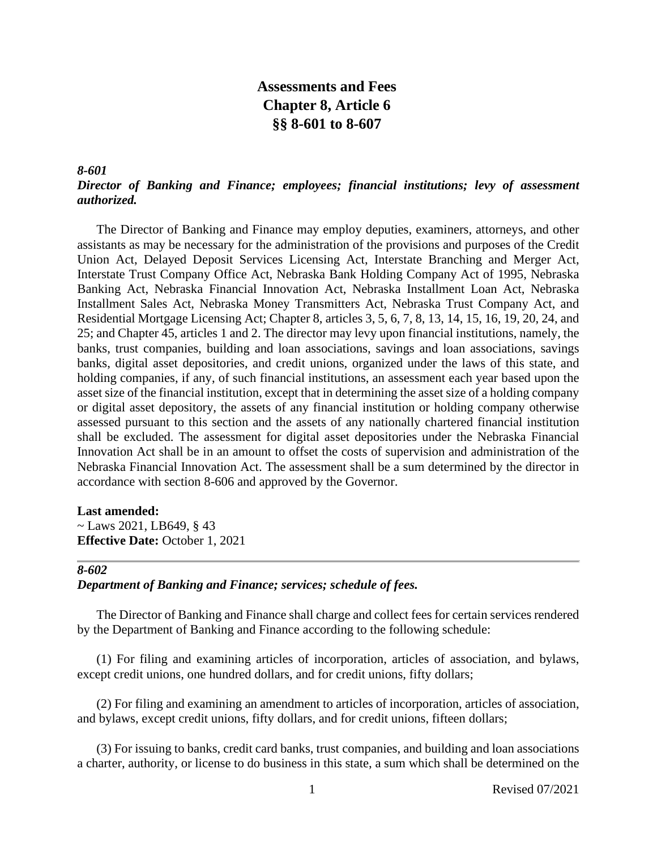# **Assessments and Fees Chapter 8, Article 6 §§ 8-601 to 8-607**

# *8-601 Director of Banking and Finance; employees; financial institutions; levy of assessment authorized.*

The Director of Banking and Finance may employ deputies, examiners, attorneys, and other assistants as may be necessary for the administration of the provisions and purposes of the Credit Union Act, Delayed Deposit Services Licensing Act, Interstate Branching and Merger Act, Interstate Trust Company Office Act, Nebraska Bank Holding Company Act of 1995, Nebraska Banking Act, Nebraska Financial Innovation Act, Nebraska Installment Loan Act, Nebraska Installment Sales Act, Nebraska Money Transmitters Act, Nebraska Trust Company Act, and Residential Mortgage Licensing Act; Chapter 8, articles 3, 5, 6, 7, 8, 13, 14, 15, 16, 19, 20, 24, and 25; and Chapter 45, articles 1 and 2. The director may levy upon financial institutions, namely, the banks, trust companies, building and loan associations, savings and loan associations, savings banks, digital asset depositories, and credit unions, organized under the laws of this state, and holding companies, if any, of such financial institutions, an assessment each year based upon the asset size of the financial institution, except that in determining the asset size of a holding company or digital asset depository, the assets of any financial institution or holding company otherwise assessed pursuant to this section and the assets of any nationally chartered financial institution shall be excluded. The assessment for digital asset depositories under the Nebraska Financial Innovation Act shall be in an amount to offset the costs of supervision and administration of the Nebraska Financial Innovation Act. The assessment shall be a sum determined by the director in accordance with section 8-606 and approved by the Governor.

#### **Last amended:**

~ Laws 2021, LB649,  $§$  43 **Effective Date:** October 1, 2021

# *8-602*

# *Department of Banking and Finance; services; schedule of fees.*

The Director of Banking and Finance shall charge and collect fees for certain services rendered by the Department of Banking and Finance according to the following schedule:

(1) For filing and examining articles of incorporation, articles of association, and bylaws, except credit unions, one hundred dollars, and for credit unions, fifty dollars;

(2) For filing and examining an amendment to articles of incorporation, articles of association, and bylaws, except credit unions, fifty dollars, and for credit unions, fifteen dollars;

(3) For issuing to banks, credit card banks, trust companies, and building and loan associations a charter, authority, or license to do business in this state, a sum which shall be determined on the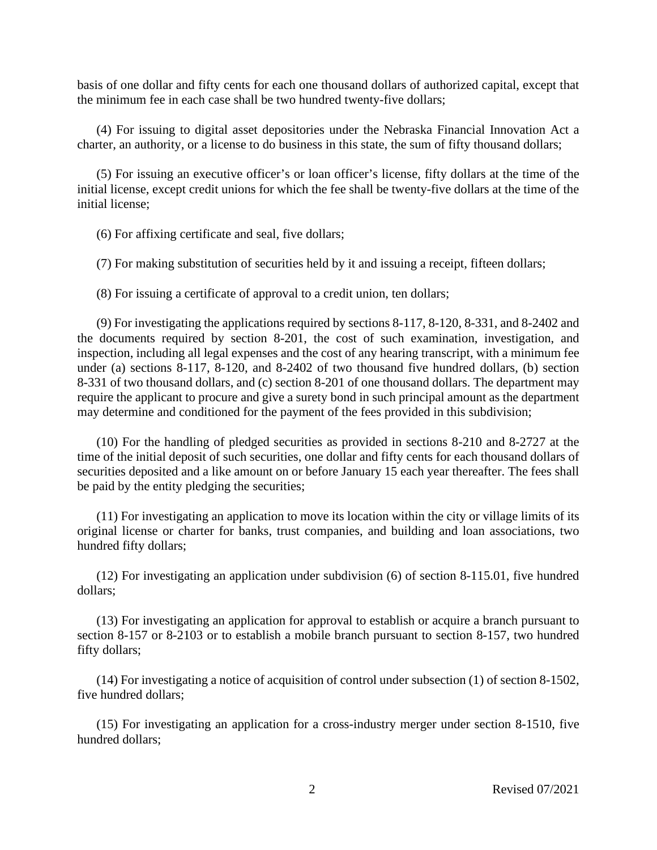basis of one dollar and fifty cents for each one thousand dollars of authorized capital, except that the minimum fee in each case shall be two hundred twenty-five dollars;

(4) For issuing to digital asset depositories under the Nebraska Financial Innovation Act a charter, an authority, or a license to do business in this state, the sum of fifty thousand dollars;

(5) For issuing an executive officer's or loan officer's license, fifty dollars at the time of the initial license, except credit unions for which the fee shall be twenty-five dollars at the time of the initial license;

(6) For affixing certificate and seal, five dollars;

(7) For making substitution of securities held by it and issuing a receipt, fifteen dollars;

(8) For issuing a certificate of approval to a credit union, ten dollars;

(9) For investigating the applications required by sections 8-117, 8-120, 8-331, and 8-2402 and the documents required by section 8-201, the cost of such examination, investigation, and inspection, including all legal expenses and the cost of any hearing transcript, with a minimum fee under (a) sections 8-117, 8-120, and 8-2402 of two thousand five hundred dollars, (b) section 8-331 of two thousand dollars, and (c) section 8-201 of one thousand dollars. The department may require the applicant to procure and give a surety bond in such principal amount as the department may determine and conditioned for the payment of the fees provided in this subdivision;

(10) For the handling of pledged securities as provided in sections 8-210 and 8-2727 at the time of the initial deposit of such securities, one dollar and fifty cents for each thousand dollars of securities deposited and a like amount on or before January 15 each year thereafter. The fees shall be paid by the entity pledging the securities;

(11) For investigating an application to move its location within the city or village limits of its original license or charter for banks, trust companies, and building and loan associations, two hundred fifty dollars;

(12) For investigating an application under subdivision (6) of section 8-115.01, five hundred dollars;

(13) For investigating an application for approval to establish or acquire a branch pursuant to section 8-157 or 8-2103 or to establish a mobile branch pursuant to section 8-157, two hundred fifty dollars;

(14) For investigating a notice of acquisition of control under subsection (1) of section 8-1502, five hundred dollars;

(15) For investigating an application for a cross-industry merger under section 8-1510, five hundred dollars;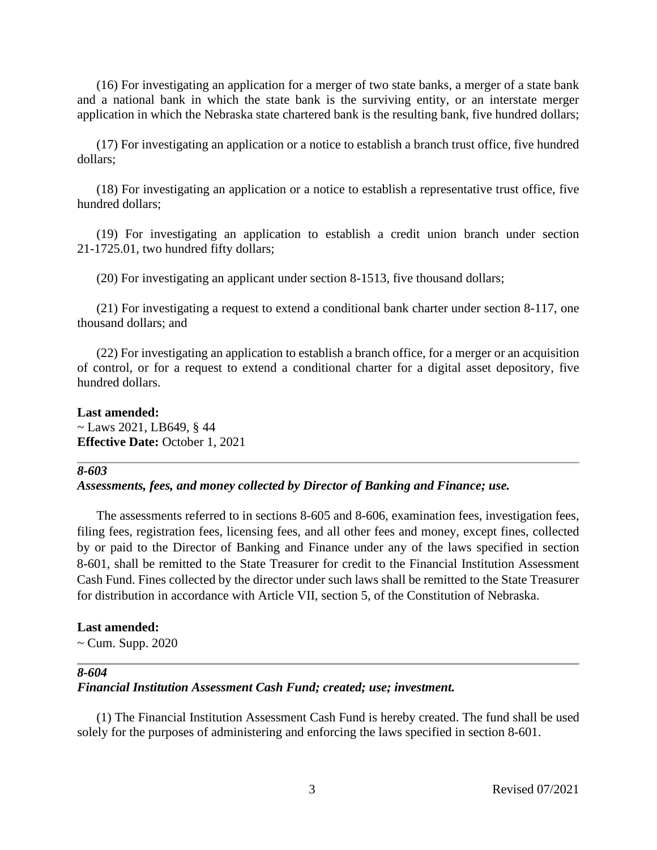(16) For investigating an application for a merger of two state banks, a merger of a state bank and a national bank in which the state bank is the surviving entity, or an interstate merger application in which the Nebraska state chartered bank is the resulting bank, five hundred dollars;

(17) For investigating an application or a notice to establish a branch trust office, five hundred dollars;

(18) For investigating an application or a notice to establish a representative trust office, five hundred dollars;

(19) For investigating an application to establish a credit union branch under section 21-1725.01, two hundred fifty dollars;

(20) For investigating an applicant under section 8-1513, five thousand dollars;

(21) For investigating a request to extend a conditional bank charter under section 8-117, one thousand dollars; and

(22) For investigating an application to establish a branch office, for a merger or an acquisition of control, or for a request to extend a conditional charter for a digital asset depository, five hundred dollars.

**Last amended:**  $\sim$  Laws 2021, LB649, § 44 **Effective Date:** October 1, 2021

#### *8-603*

# *Assessments, fees, and money collected by Director of Banking and Finance; use.*

The assessments referred to in sections 8-605 and 8-606, examination fees, investigation fees, filing fees, registration fees, licensing fees, and all other fees and money, except fines, collected by or paid to the Director of Banking and Finance under any of the laws specified in section 8-601, shall be remitted to the State Treasurer for credit to the Financial Institution Assessment Cash Fund. Fines collected by the director under such laws shall be remitted to the State Treasurer for distribution in accordance with Article VII, section 5, of the Constitution of Nebraska.

#### **Last amended:**

 $\sim$  Cum. Supp. 2020

#### *8-604*

# *Financial Institution Assessment Cash Fund; created; use; investment.*

(1) The Financial Institution Assessment Cash Fund is hereby created. The fund shall be used solely for the purposes of administering and enforcing the laws specified in section 8-601.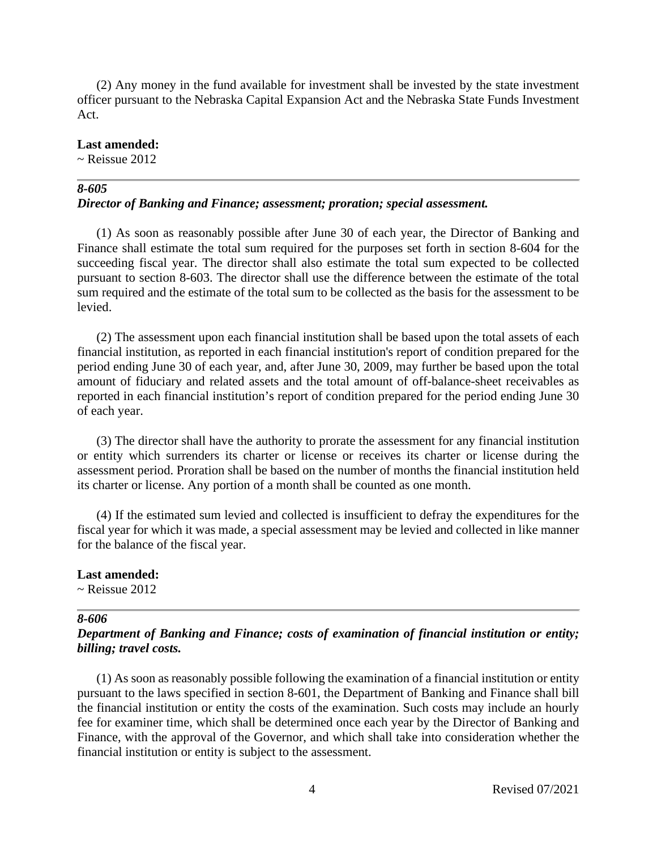(2) Any money in the fund available for investment shall be invested by the state investment officer pursuant to the Nebraska Capital Expansion Act and the Nebraska State Funds Investment Act.

#### **Last amended:**

 $\sim$  Reissue 2012

# *8-605*

# *Director of Banking and Finance; assessment; proration; special assessment.*

(1) As soon as reasonably possible after June 30 of each year, the Director of Banking and Finance shall estimate the total sum required for the purposes set forth in section 8-604 for the succeeding fiscal year. The director shall also estimate the total sum expected to be collected pursuant to section 8-603. The director shall use the difference between the estimate of the total sum required and the estimate of the total sum to be collected as the basis for the assessment to be levied.

(2) The assessment upon each financial institution shall be based upon the total assets of each financial institution, as reported in each financial institution's report of condition prepared for the period ending June 30 of each year, and, after June 30, 2009, may further be based upon the total amount of fiduciary and related assets and the total amount of off-balance-sheet receivables as reported in each financial institution's report of condition prepared for the period ending June 30 of each year.

(3) The director shall have the authority to prorate the assessment for any financial institution or entity which surrenders its charter or license or receives its charter or license during the assessment period. Proration shall be based on the number of months the financial institution held its charter or license. Any portion of a month shall be counted as one month.

(4) If the estimated sum levied and collected is insufficient to defray the expenditures for the fiscal year for which it was made, a special assessment may be levied and collected in like manner for the balance of the fiscal year.

#### **Last amended:**

 $\sim$  Reissue 2012

#### *8-606*

# *Department of Banking and Finance; costs of examination of financial institution or entity; billing; travel costs.*

(1) As soon as reasonably possible following the examination of a financial institution or entity pursuant to the laws specified in section 8-601, the Department of Banking and Finance shall bill the financial institution or entity the costs of the examination. Such costs may include an hourly fee for examiner time, which shall be determined once each year by the Director of Banking and Finance, with the approval of the Governor, and which shall take into consideration whether the financial institution or entity is subject to the assessment.